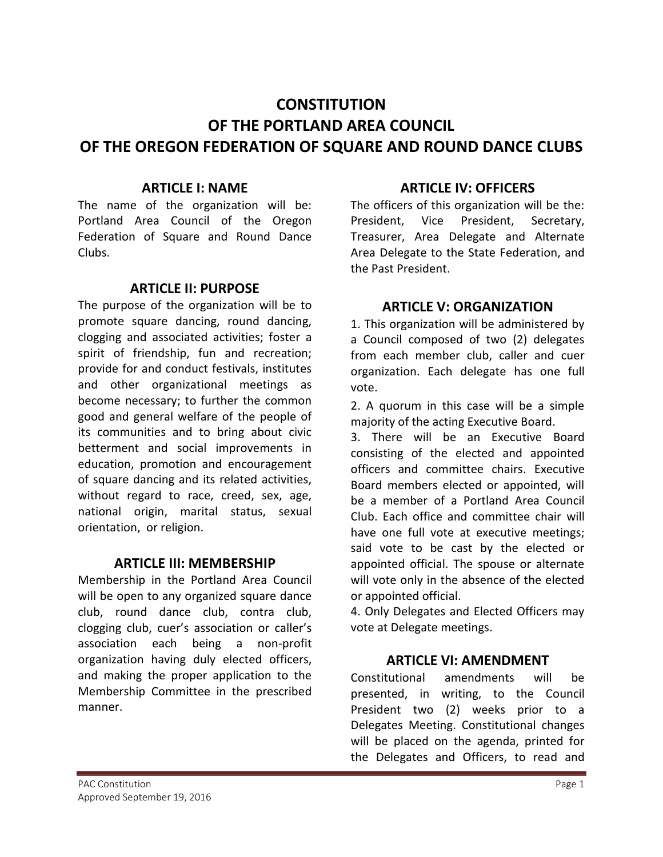# **CONSTITUTION OF THE PORTLAND AREA COUNCIL OF THE OREGON FEDERATION OF SQUARE AND ROUND DANCE CLUBS**

#### **ARTICLE I: NAME**

The name of the organization will be: Portland Area Council of the Oregon Federation of Square and Round Dance Clubs.

## **ARTICLE II: PURPOSE**

The purpose of the organization will be to promote square dancing, round dancing, clogging and associated activities; foster a spirit of friendship, fun and recreation; provide for and conduct festivals, institutes and other organizational meetings as become necessary; to further the common good and general welfare of the people of its communities and to bring about civic betterment and social improvements in education, promotion and encouragement of square dancing and its related activities, without regard to race, creed, sex, age, national origin, marital status, sexual orientation, or religion.

#### **ARTICLE III: MEMBERSHIP**

Membership in the Portland Area Council will be open to any organized square dance club, round dance club, contra club, clogging club, cuer's association or caller's association each being a non-profit organization having duly elected officers, and making the proper application to the Membership Committee in the prescribed manner.

## **ARTICLE IV: OFFICERS**

The officers of this organization will be the: President, Vice President, Secretary, Treasurer, Area Delegate and Alternate Area Delegate to the State Federation, and the Past President.

# **ARTICLE V: ORGANIZATION**

1. This organization will be administered by a Council composed of two (2) delegates from each member club, caller and cuer organization. Each delegate has one full vote.

2. A quorum in this case will be a simple majority of the acting Executive Board.

3. There will be an Executive Board consisting of the elected and appointed officers and committee chairs. Executive Board members elected or appointed, will be a member of a Portland Area Council Club. Each office and committee chair will have one full vote at executive meetings; said vote to be cast by the elected or appointed official. The spouse or alternate will vote only in the absence of the elected or appointed official.

4. Only Delegates and Elected Officers may vote at Delegate meetings.

# **ARTICLE VI: AMENDMENT**

Constitutional amendments will be presented, in writing, to the Council President two (2) weeks prior to a Delegates Meeting. Constitutional changes will be placed on the agenda, printed for the Delegates and Officers, to read and